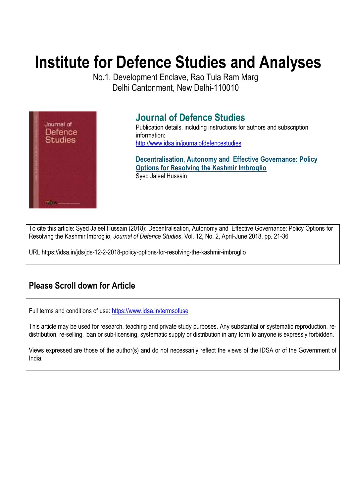# **Institute for Defence Studies and Analyses**

No.1, Development Enclave, Rao Tula Ram Marg Delhi Cantonment, New Delhi-110010



## **Journal of Defence Studies**

Publication details, including instructions for authors and subscription information: http://www.idsa.in/journalofdefencestudies

**Decentralisation, Autonomy and Effective Governance: Policy Options for Resolving the Kashmir Imbroglio**  Syed Jaleel Hussain

To cite this article: Syed Jaleel Hussain (2018): Decentralisation, Autonomy and Effective Governance: Policy Options for Resolving the Kashmir Imbroglio, *Journal of Defence Studies*, Vol. 12, No. 2, April-June 2018, pp. 21-36

URL https://idsa.in/jds/jds-12-2-2018-policy-options-for-resolving-the-kashmir-imbroglio

## **Please Scroll down for Article**

Full terms and conditions of use: https://www.idsa.in/termsofuse

This article may be used for research, teaching and private study purposes. Any substantial or systematic reproduction, redistribution, re-selling, loan or sub-licensing, systematic supply or distribution in any form to anyone is expressly forbidden.

Views expressed are those of the author(s) and do not necessarily reflect the views of the IDSA or of the Government of India.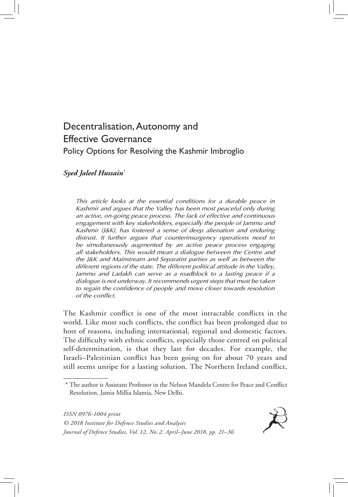### Decentralisation, Autonomy and Effective Governance Policy Options for Resolving the Kashmir Imbroglio

#### *Syed Jaleel Hussain\**

*This article looks at the essential conditions for a durable peace in Kashmir and argues that the Valley has been most peaceful only during an active, on-going peace process. The lack of effective and continuous engagement with key stakeholders, especially the people of Jammu and Kashmir (J&K), has fostered a sense of deep alienation and enduring distrust. It further argues that counterinsurgency operations need to be simultaneously augmented by an active peace process engaging all stakeholders. This would mean a dialogue between the Centre and the J&K and Mainstream and Separatist parties as well as between the different regions of the state. The different political attitude in the Valley, Jammu and Ladakh can serve as a roadblock to a lasting peace if a dialogue is not underway. It recommends urgent steps that must be taken to regain the confidence of people and move closer towards resolution of the conflict.*

The Kashmir conflict is one of the most intractable conflicts in the world. Like most such conflicts, the conflict has been prolonged due to host of reasons, including international, regional and domestic factors. The difficulty with ethnic conflicts, especially those centred on political self-determination, is that they last for decades. For example, the Israeli–Palestinian conflict has been going on for about 70 years and still seems unripe for a lasting solution. The Northern Ireland conflict,

*ISSN 0976-1004 print © 2018 Institute for Defence Studies and Analyses Journal of Defence Studies, Vol. 12, No. 2, April–June 2018, pp. 21–36*



<sup>\*</sup> The author is Assistant Professor in the Nelson Mandela Centre for Peace and Conflict Resolution, Jamia Millia Islamia, New Delhi.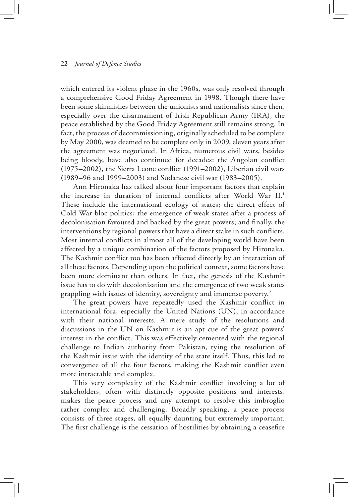which entered its violent phase in the 1960s, was only resolved through a comprehensive Good Friday Agreement in 1998. Though there have been some skirmishes between the unionists and nationalists since then, especially over the disarmament of Irish Republican Army (IRA), the peace established by the Good Friday Agreement still remains strong. In fact, the process of decommissioning, originally scheduled to be complete by May 2000, was deemed to be complete only in 2009, eleven years after the agreement was negotiated. In Africa, numerous civil wars, besides being bloody, have also continued for decades: the Angolan conflict (1975–2002), the Sierra Leone conflict (1991–2002), Liberian civil wars (1989–96 and 1999–2003) and Sudanese civil war (1983–2005).

Ann Hironaka has talked about four important factors that explain the increase in duration of internal conflicts after World War II.1 These include the international ecology of states; the direct effect of Cold War bloc politics; the emergence of weak states after a process of decolonisation favoured and backed by the great powers; and finally, the interventions by regional powers that have a direct stake in such conflicts. Most internal conflicts in almost all of the developing world have been affected by a unique combination of the factors proposed by Hironaka. The Kashmir conflict too has been affected directly by an interaction of all these factors. Depending upon the political context, some factors have been more dominant than others. In fact, the genesis of the Kashmir issue has to do with decolonisation and the emergence of two weak states grappling with issues of identity, sovereignty and immense poverty.2

The great powers have repeatedly used the Kashmir conflict in international fora, especially the United Nations (UN), in accordance with their national interests. A mere study of the resolutions and discussions in the UN on Kashmir is an apt cue of the great powers' interest in the conflict. This was effectively cemented with the regional challenge to Indian authority from Pakistan, tying the resolution of the Kashmir issue with the identity of the state itself. Thus, this led to convergence of all the four factors, making the Kashmir conflict even more intractable and complex.

This very complexity of the Kashmir conflict involving a lot of stakeholders, often with distinctly opposite positions and interests, makes the peace process and any attempt to resolve this imbroglio rather complex and challenging. Broadly speaking, a peace process consists of three stages, all equally daunting but extremely important. The first challenge is the cessation of hostilities by obtaining a ceasefire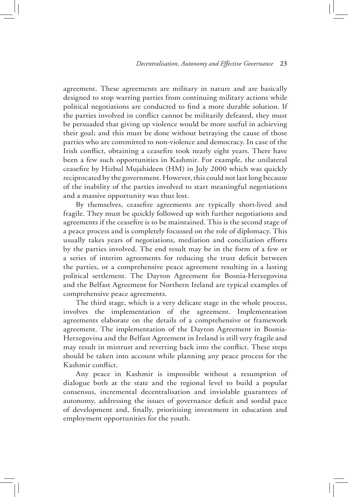agreement. These agreements are military in nature and are basically designed to stop warring parties from continuing military actions while political negotiations are conducted to find a more durable solution. If the parties involved in conflict cannot be militarily defeated, they must be persuaded that giving up violence would be more useful in achieving their goal; and this must be done without betraying the cause of those parties who are committed to non-violence and democracy. In case of the Irish conflict, obtaining a ceasefire took nearly eight years. There have been a few such opportunities in Kashmir. For example, the unilateral ceasefire by Hizbul Mujahideen (HM) in July 2000 which was quickly reciprocated by the government. However, this could not last long because of the inability of the parties involved to start meaningful negotiations and a massive opportunity was thus lost.

By themselves, ceasefire agreements are typically short-lived and fragile. They must be quickly followed up with further negotiations and agreements if the ceasefire is to be maintained. This is the second stage of a peace process and is completely focussed on the role of diplomacy. This usually takes years of negotiations, mediation and conciliation efforts by the parties involved. The end result may be in the form of a few or a series of interim agreements for reducing the trust deficit between the parties, or a comprehensive peace agreement resulting in a lasting political settlement. The Dayton Agreement for Bosnia-Herzegovina and the Belfast Agreement for Northern Ireland are typical examples of comprehensive peace agreements.

The third stage, which is a very delicate stage in the whole process, involves the implementation of the agreement. Implementation agreements elaborate on the details of a comprehensive or framework agreement. The implementation of the Dayton Agreement in Bosnia-Herzegovina and the Belfast Agreement in Ireland is still very fragile and may result in mistrust and reverting back into the conflict. These steps should be taken into account while planning any peace process for the Kashmir conflict.

Any peace in Kashmir is impossible without a resumption of dialogue both at the state and the regional level to build a popular consensus, incremental decentralisation and inviolable guarantees of autonomy, addressing the issues of governance deficit and sordid pace of development and, finally, prioritising investment in education and employment opportunities for the youth.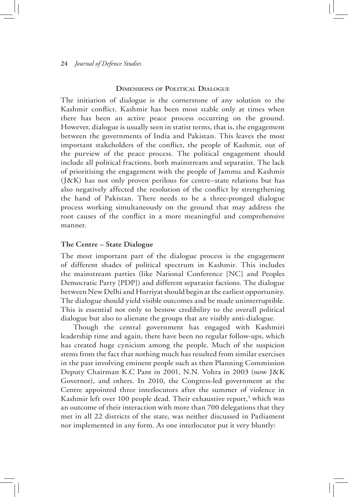#### **Dimensions of Political Dialogue**

The initiation of dialogue is the cornerstone of any solution to the Kashmir conflict. Kashmir has been most stable only at times when there has been an active peace process occurring on the ground. However, dialogue is usually seen in statist terms, that is, the engagement between the governments of India and Pakistan. This leaves the most important stakeholders of the conflict, the people of Kashmir, out of the purview of the peace process. The political engagement should include all political fractions, both mainstream and separatist. The lack of prioritising the engagement with the people of Jammu and Kashmir (J&K) has not only proven perilous for centre–state relations but has also negatively affected the resolution of the conflict by strengthening the hand of Pakistan. There needs to be a three-pronged dialogue process working simultaneously on the ground that may address the root causes of the conflict in a more meaningful and comprehensive manner.

#### **The Centre – State Dialogue**

The most important part of the dialogue process is the engagement of different shades of political spectrum in Kashmir. This includes the mainstream parties (like National Conference [NC] and Peoples Democratic Party [PDP]) and different separatist factions. The dialogue between New Delhi and Hurriyat should begin at the earliest opportunity. The dialogue should yield visible outcomes and be made uninterruptible. This is essential not only to bestow credibility to the overall political dialogue but also to alienate the groups that are visibly anti-dialogue.

Though the central government has engaged with Kashmiri leadership time and again, there have been no regular follow-ups, which has created huge cynicism among the people. Much of the suspicion stems from the fact that nothing much has resulted from similar exercises in the past involving eminent people such as then Planning Commission Deputy Chairman K.C Pant in 2001, N.N. Vohra in 2003 (now J&K Governor), and others. In 2010, the Congress-led government at the Centre appointed three interlocutors after the summer of violence in Kashmir left over 100 people dead. Their exhaustive report,<sup>3</sup> which was an outcome of their interaction with more than 700 delegations that they met in all 22 districts of the state, was neither discussed in Parliament nor implemented in any form. As one interlocutor put it very bluntly: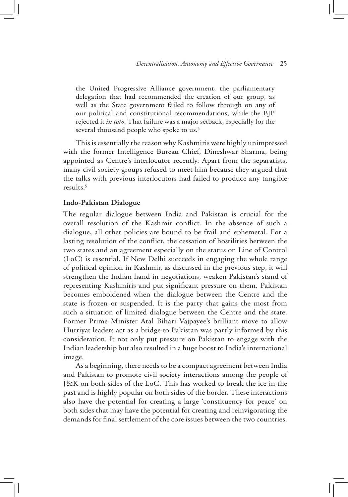the United Progressive Alliance government, the parliamentary delegation that had recommended the creation of our group, as well as the State government failed to follow through on any of our political and constitutional recommendations, while the BJP rejected it *in toto*. That failure was a major setback, especially for the several thousand people who spoke to us.<sup>4</sup>

This is essentially the reason why Kashmiris were highly unimpressed with the former Intelligence Bureau Chief, Dineshwar Sharma, being appointed as Centre's interlocutor recently. Apart from the separatists, many civil society groups refused to meet him because they argued that the talks with previous interlocutors had failed to produce any tangible results.5

#### **Indo-Pakistan Dialogue**

The regular dialogue between India and Pakistan is crucial for the overall resolution of the Kashmir conflict. In the absence of such a dialogue, all other policies are bound to be frail and ephemeral. For a lasting resolution of the conflict, the cessation of hostilities between the two states and an agreement especially on the status on Line of Control (LoC) is essential. If New Delhi succeeds in engaging the whole range of political opinion in Kashmir, as discussed in the previous step, it will strengthen the Indian hand in negotiations, weaken Pakistan's stand of representing Kashmiris and put significant pressure on them. Pakistan becomes emboldened when the dialogue between the Centre and the state is frozen or suspended. It is the party that gains the most from such a situation of limited dialogue between the Centre and the state. Former Prime Minister Atal Bihari Vajpayee's brilliant move to allow Hurriyat leaders act as a bridge to Pakistan was partly informed by this consideration. It not only put pressure on Pakistan to engage with the Indian leadership but also resulted in a huge boost to India's international image.

As a beginning, there needs to be a compact agreement between India and Pakistan to promote civil society interactions among the people of J&K on both sides of the LoC. This has worked to break the ice in the past and is highly popular on both sides of the border. These interactions also have the potential for creating a large 'constituency for peace' on both sides that may have the potential for creating and reinvigorating the demands for final settlement of the core issues between the two countries.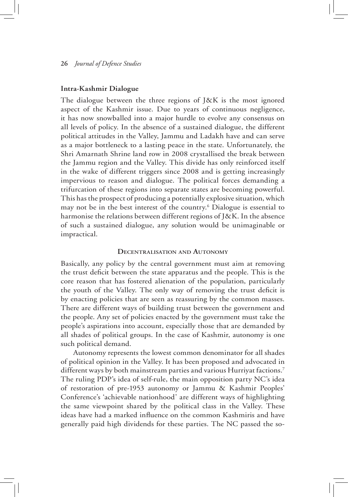#### **Intra-Kashmir Dialogue**

The dialogue between the three regions of J&K is the most ignored aspect of the Kashmir issue. Due to years of continuous negligence, it has now snowballed into a major hurdle to evolve any consensus on all levels of policy. In the absence of a sustained dialogue, the different political attitudes in the Valley, Jammu and Ladakh have and can serve as a major bottleneck to a lasting peace in the state. Unfortunately, the Shri Amarnath Shrine land row in 2008 crystallised the break between the Jammu region and the Valley. This divide has only reinforced itself in the wake of different triggers since 2008 and is getting increasingly impervious to reason and dialogue. The political forces demanding a trifurcation of these regions into separate states are becoming powerful. This has the prospect of producing a potentially explosive situation, which may not be in the best interest of the country.6 Dialogue is essential to harmonise the relations between different regions of J&K. In the absence of such a sustained dialogue, any solution would be unimaginable or impractical.

#### **Decentralisation and Autonomy**

Basically, any policy by the central government must aim at removing the trust deficit between the state apparatus and the people. This is the core reason that has fostered alienation of the population, particularly the youth of the Valley. The only way of removing the trust deficit is by enacting policies that are seen as reassuring by the common masses. There are different ways of building trust between the government and the people. Any set of policies enacted by the government must take the people's aspirations into account, especially those that are demanded by all shades of political groups. In the case of Kashmir, autonomy is one such political demand.

Autonomy represents the lowest common denominator for all shades of political opinion in the Valley. It has been proposed and advocated in different ways by both mainstream parties and various Hurriyat factions.7 The ruling PDP's idea of self-rule, the main opposition party NC's idea of restoration of pre-1953 autonomy or Jammu & Kashmir Peoples' Conference's 'achievable nationhood' are different ways of highlighting the same viewpoint shared by the political class in the Valley. These ideas have had a marked influence on the common Kashmiris and have generally paid high dividends for these parties. The NC passed the so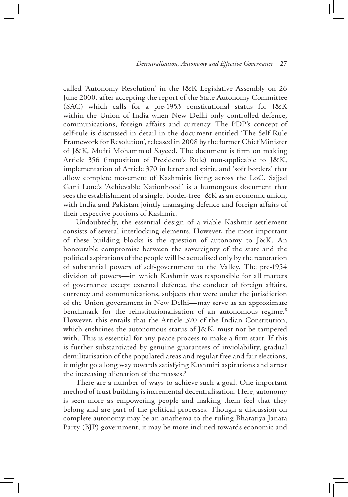called 'Autonomy Resolution' in the J&K Legislative Assembly on 26 June 2000, after accepting the report of the State Autonomy Committee (SAC) which calls for a pre-1953 constitutional status for J&K within the Union of India when New Delhi only controlled defence, communications, foreign affairs and currency. The PDP's concept of self-rule is discussed in detail in the document entitled 'The Self Rule Framework for Resolution', released in 2008 by the former Chief Minister of J&K, Mufti Mohammad Sayeed. The document is firm on making Article 356 (imposition of President's Rule) non-applicable to J&K, implementation of Article 370 in letter and spirit, and 'soft borders' that allow complete movement of Kashmiris living across the LoC. Sajjad Gani Lone's 'Achievable Nationhood' is a humongous document that sees the establishment of a single, border-free J&K as an economic union, with India and Pakistan jointly managing defence and foreign affairs of their respective portions of Kashmir.

Undoubtedly, the essential design of a viable Kashmir settlement consists of several interlocking elements. However, the most important of these building blocks is the question of autonomy to J&K. An honourable compromise between the sovereignty of the state and the political aspirations of the people will be actualised only by the restoration of substantial powers of self-government to the Valley. The pre-1954 division of powers—in which Kashmir was responsible for all matters of governance except external defence, the conduct of foreign affairs, currency and communications, subjects that were under the jurisdiction of the Union government in New Delhi—may serve as an approximate benchmark for the reinstitutionalisation of an autonomous regime.<sup>8</sup> However, this entails that the Article 370 of the Indian Constitution, which enshrines the autonomous status of J&K, must not be tampered with. This is essential for any peace process to make a firm start. If this is further substantiated by genuine guarantees of inviolability, gradual demilitarisation of the populated areas and regular free and fair elections, it might go a long way towards satisfying Kashmiri aspirations and arrest the increasing alienation of the masses.<sup>9</sup>

There are a number of ways to achieve such a goal. One important method of trust building is incremental decentralisation. Here, autonomy is seen more as empowering people and making them feel that they belong and are part of the political processes. Though a discussion on complete autonomy may be an anathema to the ruling Bharatiya Janata Party (BJP) government, it may be more inclined towards economic and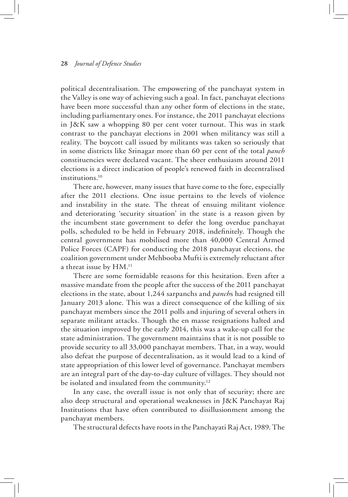political decentralisation. The empowering of the panchayat system in the Valley is one way of achieving such a goal. In fact, panchayat elections have been more successful than any other form of elections in the state, including parliamentary ones. For instance, the 2011 panchayat elections in J&K saw a whopping 80 per cent voter turnout. This was in stark contrast to the panchayat elections in 2001 when militancy was still a reality. The boycott call issued by militants was taken so seriously that in some districts like Srinagar more than 60 per cent of the total *panch* constituencies were declared vacant. The sheer enthusiasm around 2011 elections is a direct indication of people's renewed faith in decentralised institutions.<sup>10</sup>

There are, however, many issues that have come to the fore, especially after the 2011 elections. One issue pertains to the levels of violence and instability in the state. The threat of ensuing militant violence and deteriorating 'security situation' in the state is a reason given by the incumbent state government to defer the long overdue panchayat polls, scheduled to be held in February 2018, indefinitely. Though the central government has mobilised more than 40,000 Central Armed Police Forces (CAPF) for conducting the 2018 panchayat elections, the coalition government under Mehbooba Mufti is extremely reluctant after a threat issue by HM.<sup>11</sup>

There are some formidable reasons for this hesitation. Even after a massive mandate from the people after the success of the 2011 panchayat elections in the state, about 1,244 sarpanchs and *panch*s had resigned till January 2013 alone. This was a direct consequence of the killing of six panchayat members since the 2011 polls and injuring of several others in separate militant attacks. Though the en masse resignations halted and the situation improved by the early 2014, this was a wake-up call for the state administration. The government maintains that it is not possible to provide security to all 33,000 panchayat members. That, in a way, would also defeat the purpose of decentralisation, as it would lead to a kind of state appropriation of this lower level of governance. Panchayat members are an integral part of the day-to-day culture of villages. They should not be isolated and insulated from the community.<sup>12</sup>

In any case, the overall issue is not only that of security; there are also deep structural and operational weaknesses in J&K Panchayat Raj Institutions that have often contributed to disillusionment among the panchayat members.

The structural defects have roots in the Panchayati Raj Act, 1989. The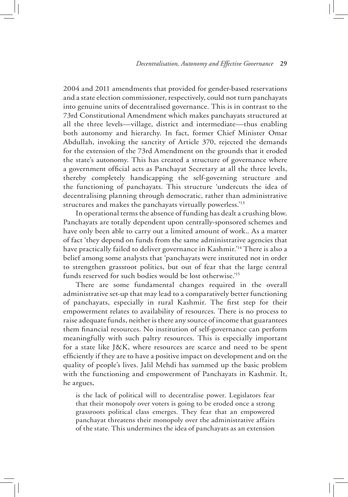2004 and 2011 amendments that provided for gender-based reservations and a state election commissioner, respectively, could not turn panchayats into genuine units of decentralised governance. This is in contrast to the 73rd Constitutional Amendment which makes panchayats structured at all the three levels—village, district and intermediate—thus enabling both autonomy and hierarchy. In fact, former Chief Minister Omar Abdullah, invoking the sanctity of Article 370, rejected the demands for the extension of the 73rd Amendment on the grounds that it eroded the state's autonomy. This has created a structure of governance where a government official acts as Panchayat Secretary at all the three levels, thereby completely handicapping the self-governing structure and the functioning of panchayats. This structure 'undercuts the idea of decentralising planning through democratic, rather than administrative structures and makes the panchayats virtually powerless.'13

In operational terms the absence of funding has dealt a crushing blow. Panchayats are totally dependent upon centrally-sponsored schemes and have only been able to carry out a limited amount of work.. As a matter of fact 'they depend on funds from the same administrative agencies that have practically failed to deliver governance in Kashmir.<sup>14</sup> There is also a belief among some analysts that 'panchayats were instituted not in order to strengthen grassroot politics, but out of fear that the large central funds reserved for such bodies would be lost otherwise.'15

There are some fundamental changes required in the overall administrative set-up that may lead to a comparatively better functioning of panchayats, especially in rural Kashmir. The first step for their empowerment relates to availability of resources. There is no process to raise adequate funds, neither is there any source of income that guarantees them financial resources. No institution of self-governance can perform meaningfully with such paltry resources. This is especially important for a state like J&K, where resources are scarce and need to be spent efficiently if they are to have a positive impact on development and on the quality of people's lives. Jalil Mehdi has summed up the basic problem with the functioning and empowerment of Panchayats in Kashmir. It, he argues,

is the lack of political will to decentralise power. Legislators fear that their monopoly over voters is going to be eroded once a strong grassroots political class emerges. They fear that an empowered panchayat threatens their monopoly over the administrative affairs of the state. This undermines the idea of panchayats as an extension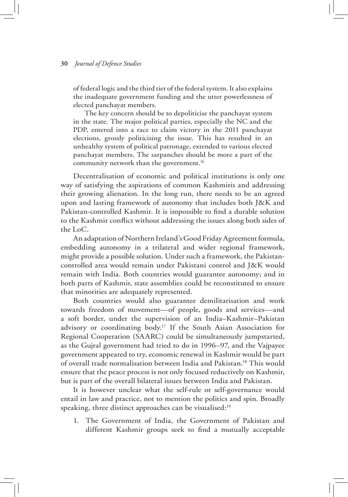of federal logic and the third tier of the federal system. It also explains the inadequate government funding and the utter powerlessness of elected panchayat members.

 The key concern should be to depoliticise the panchayat system in the state. The major political parties, especially the NC and the PDP, entered into a race to claim victory in the 2011 panchayat elections, grossly politicising the issue. This has resulted in an unhealthy system of political patronage, extended to various elected panchayat members. The sarpanches should be more a part of the community network than the government.<sup>16</sup>

Decentralisation of economic and political institutions is only one way of satisfying the aspirations of common Kashmiris and addressing their growing alienation. In the long run, there needs to be an agreed upon and lasting framework of autonomy that includes both J&K and Pakistan-controlled Kashmir. It is impossible to find a durable solution to the Kashmir conflict without addressing the issues along both sides of the LoC.

An adaptation of Northern Ireland's Good Friday Agreement formula, embedding autonomy in a trilateral and wider regional framework, might provide a possible solution. Under such a framework, the Pakistancontrolled area would remain under Pakistani control and J&K would remain with India. Both countries would guarantee autonomy; and in both parts of Kashmir, state assemblies could be reconstituted to ensure that minorities are adequately represented.

Both countries would also guarantee demilitarisation and work towards freedom of movement—of people, goods and services—and a soft border, under the supervision of an India–Kashmir–Pakistan advisory or coordinating body.<sup>17</sup> If the South Asian Association for Regional Cooperation (SAARC) could be simultaneously jumpstarted, as the Gujral government had tried to do in 1996–97, and the Vajpayee government appeared to try, economic renewal in Kashmir would be part of overall trade normalisation between India and Pakistan.18 This would ensure that the peace process is not only focused reductively on Kashmir, but is part of the overall bilateral issues between India and Pakistan.

It is however unclear what the self-rule or self-governance would entail in law and practice, not to mention the politics and spin. Broadly speaking, three distinct approaches can be visualised:<sup>19</sup>

1. The Government of India, the Government of Pakistan and different Kashmir groups seek to find a mutually acceptable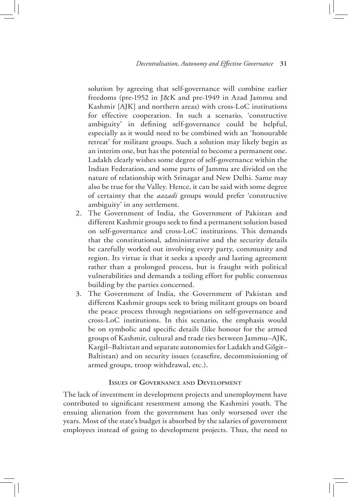solution by agreeing that self-governance will combine earlier freedoms (pre-1952 in J&K and pre-1949 in Azad Jammu and Kashmir [AJK] and northern areas) with cross-LoC institutions for effective cooperation. In such a scenario, 'constructive ambiguity' in defining self-governance could be helpful, especially as it would need to be combined with an 'honourable retreat' for militant groups. Such a solution may likely begin as an interim one, but has the potential to become a permanent one. Ladakh clearly wishes some degree of self-governance within the Indian Federation, and some parts of Jammu are divided on the nature of relationship with Srinagar and New Delhi. Same may also be true for the Valley. Hence, it can be said with some degree of certainty that the *aazadi* groups would prefer 'constructive ambiguity' in any settlement.

- 2. The Government of India, the Government of Pakistan and different Kashmir groups seek to find a permanent solution based on self-governance and cross-LoC institutions. This demands that the constitutional, administrative and the security details be carefully worked out involving every party, community and region. Its virtue is that it seeks a speedy and lasting agreement rather than a prolonged process, but is fraught with political vulnerabilities and demands a toiling effort for public consensus building by the parties concerned.
- 3. The Government of India, the Government of Pakistan and different Kashmir groups seek to bring militant groups on board the peace process through negotiations on self-governance and cross-LoC institutions. In this scenario, the emphasis would be on symbolic and specific details (like honour for the armed groups of Kashmir, cultural and trade ties between Jammu–AJK, Kargil–Baltistan and separate autonomies for Ladakh and Gilgit– Baltistan) and on security issues (ceasefire, decommissioning of armed groups, troop withdrawal, etc.).

#### **Issues of Governance and Development**

The lack of investment in development projects and unemployment have contributed to significant resentment among the Kashmiri youth. The ensuing alienation from the government has only worsened over the years. Most of the state's budget is absorbed by the salaries of government employees instead of going to development projects. Thus, the need to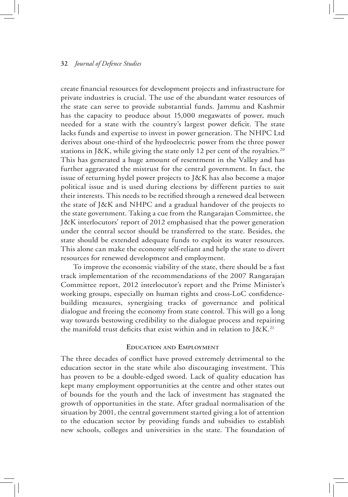create financial resources for development projects and infrastructure for private industries is crucial. The use of the abundant water resources of the state can serve to provide substantial funds. Jammu and Kashmir has the capacity to produce about 15,000 megawatts of power, much needed for a state with the country's largest power deficit. The state lacks funds and expertise to invest in power generation. The NHPC Ltd derives about one-third of the hydroelectric power from the three power stations in J&K, while giving the state only 12 per cent of the royalties.<sup>20</sup> This has generated a huge amount of resentment in the Valley and has further aggravated the mistrust for the central government. In fact, the issue of returning hydel power projects to J&K has also become a major political issue and is used during elections by different parties to suit their interests. This needs to be rectified through a renewed deal between the state of J&K and NHPC and a gradual handover of the projects to the state government. Taking a cue from the Rangarajan Committee, the J&K interlocutors' report of 2012 emphasised that the power generation under the central sector should be transferred to the state. Besides, the state should be extended adequate funds to exploit its water resources. This alone can make the economy self-reliant and help the state to divert resources for renewed development and employment.

To improve the economic viability of the state, there should be a fast track implementation of the recommendations of the 2007 Rangarajan Committee report, 2012 interlocutor's report and the Prime Minister's working groups, especially on human rights and cross-LoC confidencebuilding measures, synergising tracks of governance and political dialogue and freeing the economy from state control. This will go a long way towards bestowing credibility to the dialogue process and repairing the manifold trust deficits that exist within and in relation to J&K.<sup>21</sup>

#### **Education and Employment**

The three decades of conflict have proved extremely detrimental to the education sector in the state while also discouraging investment. This has proven to be a double-edged sword. Lack of quality education has kept many employment opportunities at the centre and other states out of bounds for the youth and the lack of investment has stagnated the growth of opportunities in the state. After gradual normalisation of the situation by 2001, the central government started giving a lot of attention to the education sector by providing funds and subsidies to establish new schools, colleges and universities in the state. The foundation of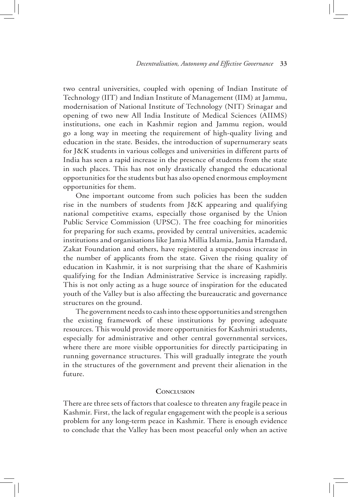two central universities, coupled with opening of Indian Institute of Technology (IIT) and Indian Institute of Management (IIM) at Jammu, modernisation of National Institute of Technology (NIT) Srinagar and opening of two new All India Institute of Medical Sciences (AIIMS) institutions, one each in Kashmir region and Jammu region, would go a long way in meeting the requirement of high-quality living and education in the state. Besides, the introduction of supernumerary seats for J&K students in various colleges and universities in different parts of India has seen a rapid increase in the presence of students from the state in such places. This has not only drastically changed the educational opportunities for the students but has also opened enormous employment opportunities for them.

One important outcome from such policies has been the sudden rise in the numbers of students from J&K appearing and qualifying national competitive exams, especially those organised by the Union Public Service Commission (UPSC). The free coaching for minorities for preparing for such exams, provided by central universities, academic institutions and organisations like Jamia Millia Islamia, Jamia Hamdard, Zakat Foundation and others, have registered a stupendous increase in the number of applicants from the state. Given the rising quality of education in Kashmir, it is not surprising that the share of Kashmiris qualifying for the Indian Administrative Service is increasing rapidly. This is not only acting as a huge source of inspiration for the educated youth of the Valley but is also affecting the bureaucratic and governance structures on the ground.

The government needs to cash into these opportunities and strengthen the existing framework of these institutions by proving adequate resources. This would provide more opportunities for Kashmiri students, especially for administrative and other central governmental services, where there are more visible opportunities for directly participating in running governance structures. This will gradually integrate the youth in the structures of the government and prevent their alienation in the future.

#### **Conclusion**

There are three sets of factors that coalesce to threaten any fragile peace in Kashmir. First, the lack of regular engagement with the people is a serious problem for any long-term peace in Kashmir. There is enough evidence to conclude that the Valley has been most peaceful only when an active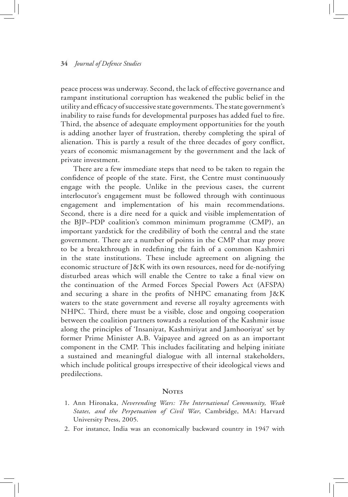peace process was underway. Second, the lack of effective governance and rampant institutional corruption has weakened the public belief in the utility and efficacy of successive state governments. The state government's inability to raise funds for developmental purposes has added fuel to fire. Third, the absence of adequate employment opportunities for the youth is adding another layer of frustration, thereby completing the spiral of alienation. This is partly a result of the three decades of gory conflict, years of economic mismanagement by the government and the lack of private investment.

There are a few immediate steps that need to be taken to regain the confidence of people of the state. First, the Centre must continuously engage with the people. Unlike in the previous cases, the current interlocutor's engagement must be followed through with continuous engagement and implementation of his main recommendations. Second, there is a dire need for a quick and visible implementation of the BJP–PDP coalition's common minimum programme (CMP), an important yardstick for the credibility of both the central and the state government. There are a number of points in the CMP that may prove to be a breakthrough in redefining the faith of a common Kashmiri in the state institutions. These include agreement on aligning the economic structure of J&K with its own resources, need for de-notifying disturbed areas which will enable the Centre to take a final view on the continuation of the Armed Forces Special Powers Act (AFSPA) and securing a share in the profits of NHPC emanating from J&K waters to the state government and reverse all royalty agreements with NHPC. Third, there must be a visible, close and ongoing cooperation between the coalition partners towards a resolution of the Kashmir issue along the principles of 'Insaniyat, Kashmiriyat and Jamhooriyat' set by former Prime Minister A.B. Vajpayee and agreed on as an important component in the CMP. This includes facilitating and helping initiate a sustained and meaningful dialogue with all internal stakeholders, which include political groups irrespective of their ideological views and predilections.

#### **NOTES**

- 1. Ann Hironaka, *Neverending Wars: The International Community, Weak States, and the Perpetuation of Civil War*, Cambridge, MA: Harvard University Press, 2005.
- 2. For instance, India was an economically backward country in 1947 with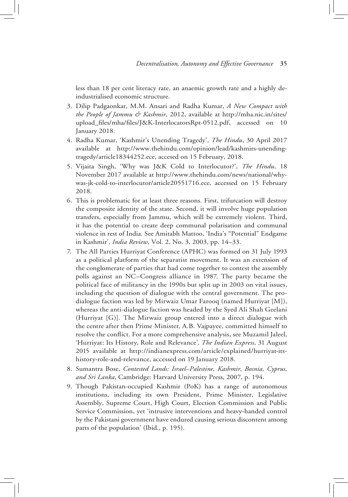less than 18 per cent literacy rate, an anaemic growth rate and a highly deindustrialised economic structure.

- 3. Dilip Padgaonkar, M.M. Ansari and Radha Kumar, *A New Compact with the People of Jammu & Kashmir*, 2012, available at http://mha.nic.in/sites/ upload\_files/mha/files/J&K-InterlocatorsRpt-0512.pdf, accessed on 10 January 2018.
- 4. Radha Kumar, 'Kashmir's Unending Tragedy', *The Hindu*, 30 April 2017 available at http://www.thehindu.com/opinion/lead/kashmirs-unendingtragedy/article18344252.ece, accesed on 15 February, 2018.
- 5. Vijaita Singh, 'Why was J&K Cold to Interlocutor?', *The Hindu*, 18 November 2017 available at http://www.thehindu.com/news/national/whywas-jk-cold-to-interlocutor/article20551716.ece, accessed on 15 February 2018.
- 6. This is problematic for at least three reasons. First, trifurcation will destroy the composite identity of the state. Second, it will involve huge population transfers, especially from Jammu, which will be extremely violent. Third, it has the potential to create deep communal polarisation and communal violence in rest of India. See Amitabh Mattoo, 'India's "Potential" Endgame in Kashmir', *India Review*, Vol. 2, No. 3, 2003, pp. 14–33.
- 7. The All Parties Hurriyat Conference (APHC) was formed on 31 July 1993 as a political platform of the separatist movement. It was an extension of the conglomerate of parties that had come together to contest the assembly polls against an NC–Congress alliance in 1987. The party became the political face of militancy in the 1990s but split up in 2003 on vital issues, including the question of dialogue with the central government. The prodialogue faction was led by Mirwaiz Umar Farooq (named Hurriyat [M]), whereas the anti-dialogue faction was headed by the Syed Ali Shah Geelani (Hurriyat [G)]. The Mirwaiz group entered into a direct dialogue with the centre after then Prime Minister, A.B. Vajpayee, committed himself to resolve the conflict. For a more comprehensive analysis, see Muzamil Jaleel, 'Hurriyat: Its History, Role and Relevance', *The Indian Express*, 31 August 2015 available at http://indianexpress.com/article/explained/hurriyat-itshistory-role-and-relevance, accessed on 19 January 2018.
- 8. Sumantra Bose, *Contested Lands: Israel–Palestine, Kashmir, Bosnia, Cyprus, and Sri Lanka*, Cambridge: Harvard University Press, 2007, p. 194.
- 9. Though Pakistan-occupied Kashmir (PoK) has a range of autonomous institutions, including its own President, Prime Minister, Legislative Assembly, Supreme Court, High Court, Election Commission and Public Service Commission, yet 'intrusive interventions and heavy-handed control by the Pakistani government have endured causing serious discontent among parts of the population' (Ibid., p. 195).